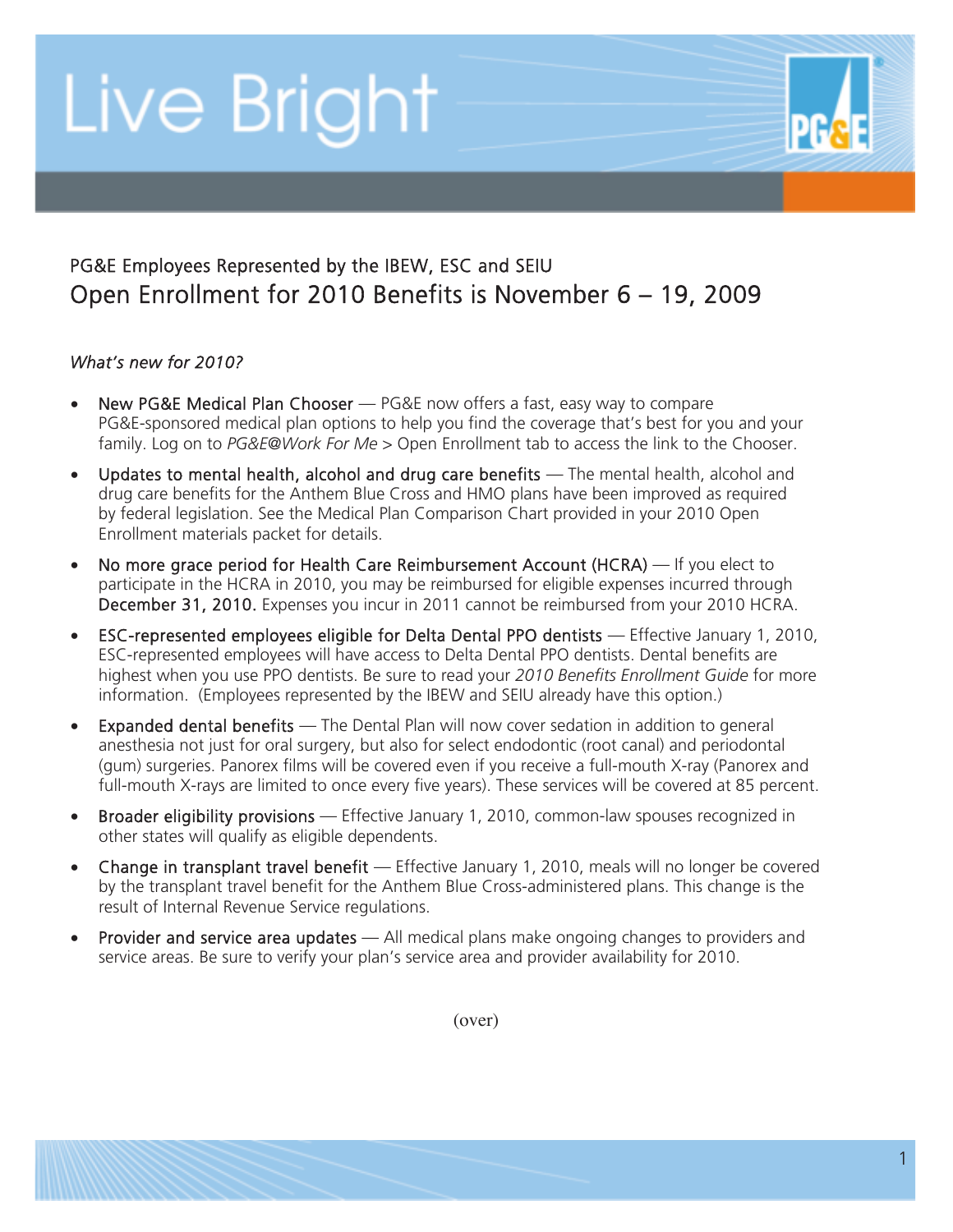## Live Bright

### PG&E Employees Represented by the IBEW, ESC and SEIU Open Enrollment for 2010 Benefits is November 6 – 19, 2009

#### *What's new for 2010?*

- New PG&E Medical Plan Chooser PG&E now offers a fast, easy way to compare PG&E-sponsored medical plan options to help you find the coverage that's best for you and your family. Log on to *PG&E@Work For Me* > Open Enrollment tab to access the link to the Chooser.
- Updates to mental health, alcohol and drug care benefits  $-$  The mental health, alcohol and drug care benefits for the Anthem Blue Cross and HMO plans have been improved as required by federal legislation. See the Medical Plan Comparison Chart provided in your 2010 Open Enrollment materials packet for details.
- No more grace period for Health Care Reimbursement Account (HCRA) If you elect to participate in the HCRA in 2010, you may be reimbursed for eligible expenses incurred through December 31, 2010. Expenses you incur in 2011 cannot be reimbursed from your 2010 HCRA.
- ESC-represented employees eligible for Delta Dental PPO dentists Effective January 1, 2010, ESC-represented employees will have access to Delta Dental PPO dentists. Dental benefits are highest when you use PPO dentists. Be sure to read your *2010 Benefits Enrollment Guide* for more information. (Employees represented by the IBEW and SEIU already have this option.)
- Expanded dental benefits The Dental Plan will now cover sedation in addition to general anesthesia not just for oral surgery, but also for select endodontic (root canal) and periodontal (gum) surgeries. Panorex films will be covered even if you receive a full-mouth X-ray (Panorex and full-mouth X-rays are limited to once every five years). These services will be covered at 85 percent.
- Broader eligibility provisions Effective January 1, 2010, common-law spouses recognized in other states will qualify as eligible dependents.
- Change in transplant travel benefit Effective January 1, 2010, meals will no longer be covered by the transplant travel benefit for the Anthem Blue Cross-administered plans. This change is the result of Internal Revenue Service regulations.
- Provider and service area updates  $-$  All medical plans make ongoing changes to providers and service areas. Be sure to verify your plan's service area and provider availability for 2010.

(over)